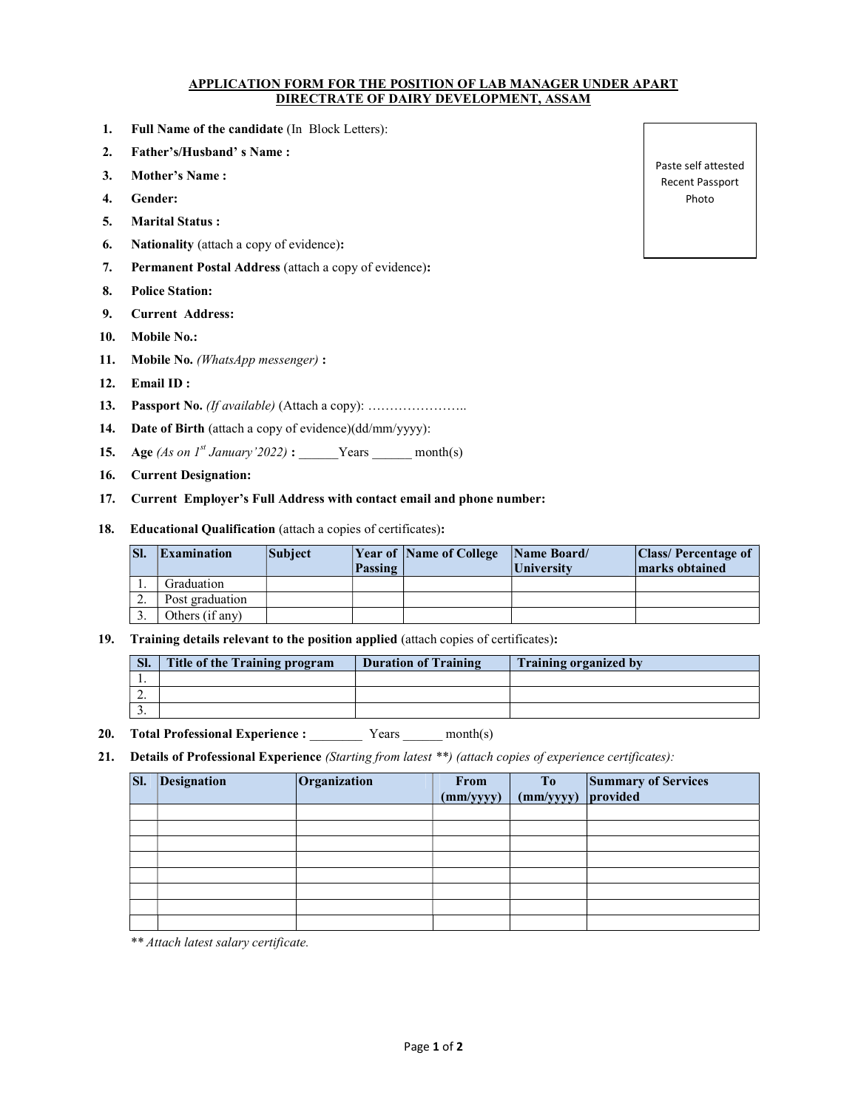# APPLICATION FORM FOR THE POSITION OF LAB MANAGER UNDER APART DIRECTRATE OF DAIRY DEVELOPMENT, ASSAM

- 1. Full Name of the candidate (In Block Letters):
- 2. Father's/Husband' s Name :
- 3. Mother's Name :
- 4. Gender:
- 5. Marital Status :
- 6. Nationality (attach a copy of evidence):
- 7. Permanent Postal Address (attach a copy of evidence):
- 8. Police Station:
- 9. Current Address:
- 10. Mobile No.:
- 11. Mobile No. (WhatsApp messenger) :
- 12. Email ID :
- 13. Passport No. (If available) (Attach a copy): ……………………
- 14. Date of Birth (attach a copy of evidence)(dd/mm/yyyy):
- 15. Age (As on  $I^{st}$  January'2022) : Years month(s)
- 16. Current Designation:
- 17. Current Employer's Full Address with contact email and phone number:
- 18. Educational Qualification (attach a copies of certificates):

| SI. | <b>Examination</b> | <b>Subject</b> | <b>Passing</b> | <b>Year of Name of College</b> | Name Board/<br> University | <b>Class/Percentage of</b><br>marks obtained |
|-----|--------------------|----------------|----------------|--------------------------------|----------------------------|----------------------------------------------|
|     | Graduation         |                |                |                                |                            |                                              |
|     | Post graduation    |                |                |                                |                            |                                              |
|     | Others (if any)    |                |                |                                |                            |                                              |

19. Training details relevant to the position applied (attach copies of certificates):

| SI.      | Title of the Training program | <b>Duration of Training</b> | <b>Training organized by</b> |
|----------|-------------------------------|-----------------------------|------------------------------|
| . .      |                               |                             |                              |
| <u>.</u> |                               |                             |                              |
| J.       |                               |                             |                              |

- 20. Total Professional Experience :  $\qquad \qquad$  Years  $\qquad \qquad$  month(s)
- 21. Details of Professional Experience (Starting from latest \*\*) (attach copies of experience certificates):

| SI. | Designation | Organization | From      | <b>To</b> | Summary of Services |
|-----|-------------|--------------|-----------|-----------|---------------------|
|     |             |              | (mm/yyyy) | (mm/yyyy) | provided            |
|     |             |              |           |           |                     |
|     |             |              |           |           |                     |
|     |             |              |           |           |                     |
|     |             |              |           |           |                     |
|     |             |              |           |           |                     |
|     |             |              |           |           |                     |
|     |             |              |           |           |                     |
|     |             |              |           |           |                     |

\*\* Attach latest salary certificate.

Paste self attested Recent Passport Photo